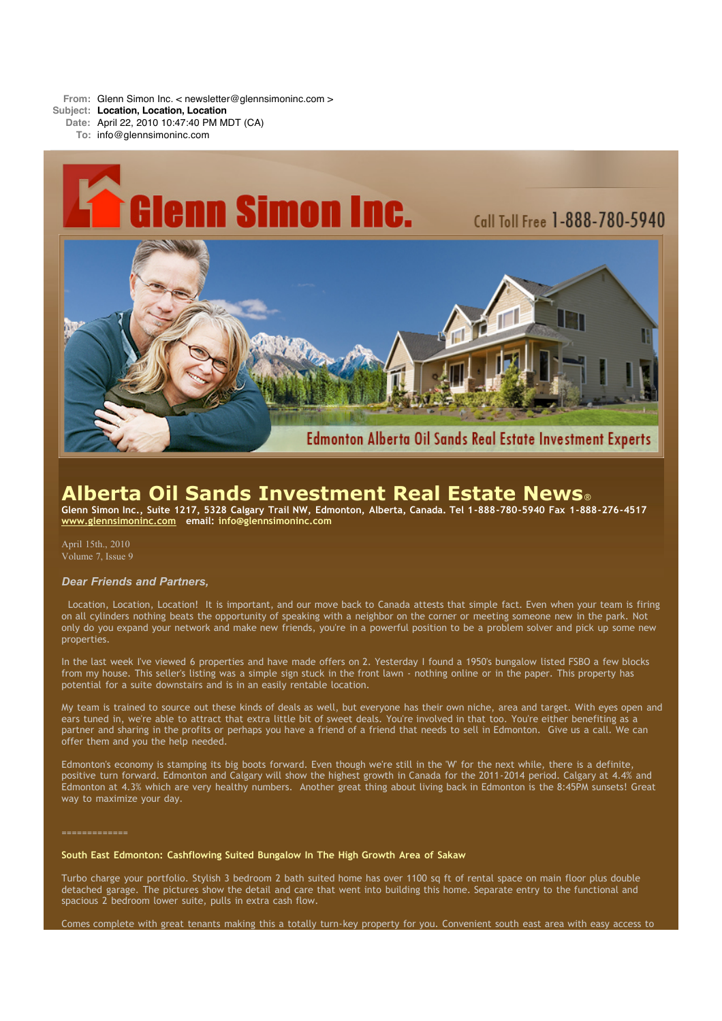**From:** Glenn Simon Inc. < newsletter@glennsimoninc.com >

**Subject: Location, Location, Location**

**Date:** April 22, 2010 10:47:40 PM MDT (CA)

**To:** info@glennsimoninc.com



# **Alberta Oil Sands Investment Real Estate News**®

Glenn Simon Inc., Suite 1217, 5328 Calgary Trail NW, Edmonton, Alberta, Canada. Tel 1-888-780-5940 Fax 1-888-276-4517 **[www.glennsimoninc.com](http://www.glennsimoninc.com/) email: [info@glennsimoninc.com](mailto:info@glennsimoninc.com)**

April 15th., 2010 Volume 7, Issue 9

# *Dear Friends and Partners,*

Location, Location, Location! It is important, and our move back to Canada attests that simple fact. Even when your team is firing on all cylinders nothing beats the opportunity of speaking with a neighbor on the corner or meeting someone new in the park. Not only do you expand your network and make new friends, you're in a powerful position to be a problem solver and pick up some new properties.

In the last week I've viewed 6 properties and have made offers on 2. Yesterday I found a 1950's bungalow listed FSBO a few blocks from my house. This seller's listing was a simple sign stuck in the front lawn - nothing online or in the paper. This property has potential for a suite downstairs and is in an easily rentable location.

My team is trained to source out these kinds of deals as well, but everyone has their own niche, area and target. With eyes open and ears tuned in, we're able to attract that extra little bit of sweet deals. You're involved in that too. You're either benefiting as a partner and sharing in the profits or perhaps you have a friend of a friend that needs to sell in Edmonton. Give us a call. We can offer them and you the help needed.

Edmonton's economy is stamping its big boots forward. Even though we're still in the 'W' for the next while, there is a definite, positive turn forward. Edmonton and Calgary will show the highest growth in Canada for the 2011-2014 period. Calgary at 4.4% and Edmonton at 4.3% which are very healthy numbers. Another great thing about living back in Edmonton is the 8:45PM sunsets! Great way to maximize your day.

=============

# **South East Edmonton: Cashflowing Suited Bungalow In The High Growth Area of Sakaw**

Turbo charge your portfolio. Stylish 3 bedroom 2 bath suited home has over 1100 sq ft of rental space on main floor plus double detached garage. The pictures show the detail and care that went into building this home. Separate entry to the functional and spacious 2 bedroom lower suite, pulls in extra cash flow.

Comes complete with great tenants making this a totally turn-key property for you. Convenient south east area with easy access to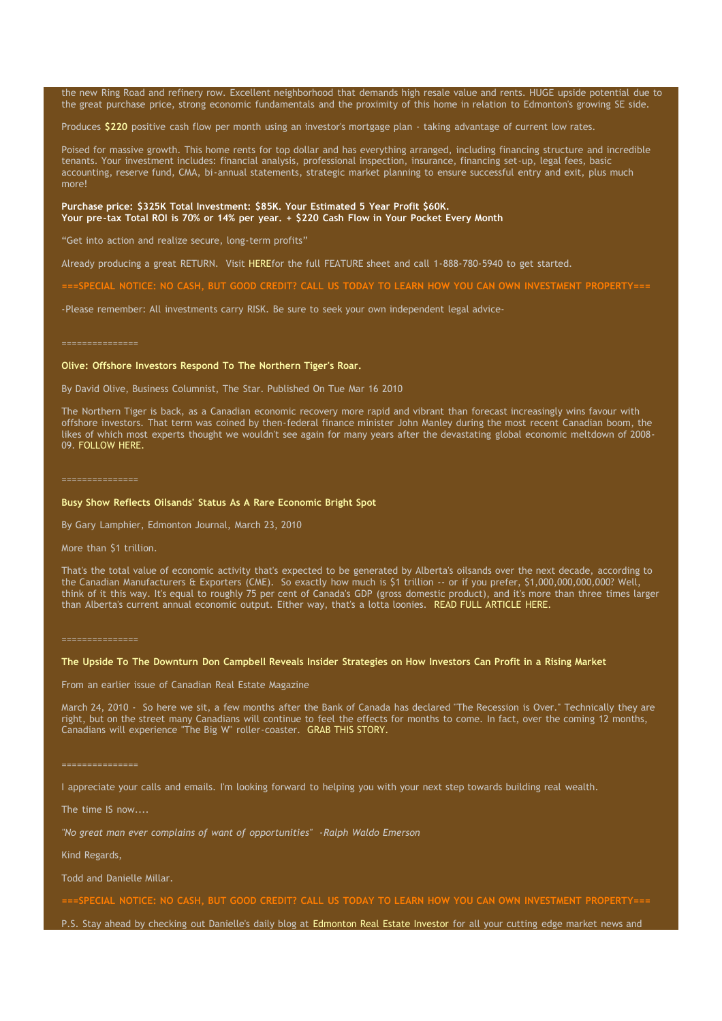the new Ring Road and refinery row. Excellent neighborhood that demands high resale value and rents. HUGE upside potential due to the great purchase price, strong economic fundamentals and the proximity of this home in relation to Edmonton's growing SE side.

Produces **\$220** positive cash flow per month using an investor's mortgage plan - taking advantage of current low rates.

Poised for massive growth. This home rents for top dollar and has everything arranged, including financing structure and incredible tenants. Your investment includes: financial analysis, professional inspection, insurance, financing set-up, legal fees, basic accounting, reserve fund, CMA, bi-annual statements, strategic market planning to ensure successful entry and exit, plus much more!

## **Purchase price: \$325K Total [Investment:](http://www.glennsimoninc.com/featured_properties.php) \$85K. Your Estimated 5 Year Profit \$60K. Your pre-tax Total ROI is 70% or 14% per year. + \$220 Cash Flow in Your Pocket Every Month**

"Get into action and realize secure, long-term profits"

Already producing a great RETURN. Visit [HEREf](http://www.glennsimoninc.com/featured_properties.php)or the full FEATURE sheet and call 1-888-780-5940 to get started.

L NOTICE: NO CASH, BUT GOOD CREDIT? CALL US TODAY TO LEARN HOW YOU CAN OWN INVESTMENT PROPERTY

-Please remember: All investments carry RISK. Be sure to seek your own independent legal advice-

### **Olive: Offshore Investors Respond To The Northern Tiger's Roar.**

By David Olive, Business Columnist, The Star. Published On Tue Mar 16 2010

The Northern Tiger is back, as a Canadian economic recovery more rapid and vibrant than forecast increasingly wins favour with offshore investors. That term was coined by then-federal finance minister John Manley during the most recent Canadian boom, the likes of which most experts thought we wouldn't see again for many years after the devastating global economic meltdown of 2008- 09. [FOLLOW](http://www.thestar.com/business/article/780327) HERE.

### **Busy Show Reflects Oilsands' Status As A Rare Economic Bright Spot**

By Gary Lamphier, Edmonton Journal, March 23, 2010

More than \$1 trillion.

That's the total value of economic activity that's expected to be generated by Alberta's oilsands over the next decade, according to the Canadian Manufacturers & Exporters (CME). So exactly how much is \$1 trillion -- or if you prefer, \$1,000,000,000,000? Well, think of it this way. It's equal to roughly 75 per cent of Canada's GDP (gross domestic product), and it's more than three times larger than Alberta's current annual economic output. Either way, that's a lotta loonies. READ FULL [ARTICLE](http://www.edmontonjournal.com/business/Busy+show+reflects+oilsands+status+rare+economic+bright+spot/2714308/story.html) HERE.

### The Upside To The Downturn Don Campbell Reveals Insider Strategies on How Investors Can Profit in a Rising Market

From an earlier issue of Canadian Real Estate Magazine

March 24, 2010 - So here we sit, a few months after the Bank of Canada has declared "The Recession is Over." Technically they are right, but on the street many Canadians will continue to feel the effects for months to come. In fact, over the coming 12 months, Canadians will experience "The Big W" roller-coaster. GRAB THIS [STORY.](http://www.canadianrealestatemagazine.ca/news/41061/details.aspx)

### ===============

I appreciate your calls and emails. I'm looking forward to helping you with your next step towards building real wealth.

The time IS now....

*"No great man ever complains of want of opportunities" -Ralph Waldo Emerson*

Kind Regards,

Todd and Danielle Millar.

===SPECIAL NOTICE: NO CASH, BUT GOOD CREDIT? CALL US TODAY TO LEARN HOW YOU CAN OWN INVESTMENT [PROPERTY===](http://www.myreinspace.com/forums/index.php?showtopic=15535)

P.S. Stay ahead by checking out Danielle's daily blog at [Edmonton](http://www.edmontonrealestateinvestmentblog.com/) Real Estate Investor for all your cutting edge market news and